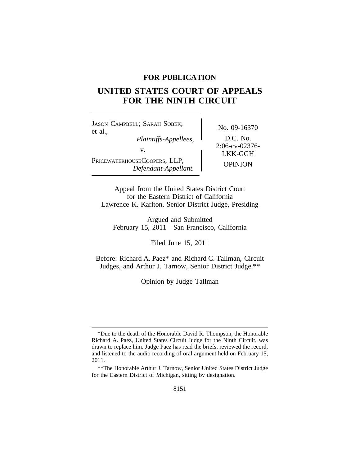# **FOR PUBLICATION**

# **UNITED STATES COURT OF APPEALS FOR THE NINTH CIRCUIT**

<sup>J</sup>ASON CAMPBELL; SARAH SOBEK; No. 09-16370<br>et al.,<br>*Plaintiffs-Appellees*. D.C. No. *Plaintiffs-Appellees,*<br>
2:06-cv-02376-<br>
<sub>2</sub>:06-cv-02376-PRICEWATERHOUSECOOPERS, LLP, OPINION<br> *Defendant-Appellant.* 

LKK-GGH

Appeal from the United States District Court for the Eastern District of California Lawrence K. Karlton, Senior District Judge, Presiding

Argued and Submitted February 15, 2011—San Francisco, California

Filed June 15, 2011

Before: Richard A. Paez\* and Richard C. Tallman, Circuit Judges, and Arthur J. Tarnow, Senior District Judge.\*\*

Opinion by Judge Tallman

<sup>\*</sup>Due to the death of the Honorable David R. Thompson, the Honorable Richard A. Paez, United States Circuit Judge for the Ninth Circuit, was drawn to replace him. Judge Paez has read the briefs, reviewed the record, and listened to the audio recording of oral argument held on February 15, 2011.

<sup>\*\*</sup>The Honorable Arthur J. Tarnow, Senior United States District Judge for the Eastern District of Michigan, sitting by designation.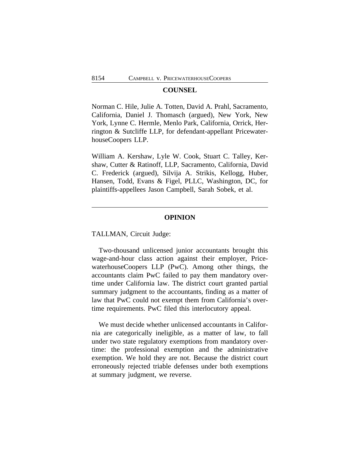#### **COUNSEL**

Norman C. Hile, Julie A. Totten, David A. Prahl, Sacramento, California, Daniel J. Thomasch (argued), New York, New York, Lynne C. Hermle, Menlo Park, California, Orrick, Herrington & Sutcliffe LLP, for defendant-appellant PricewaterhouseCoopers LLP.

William A. Kershaw, Lyle W. Cook, Stuart C. Talley, Kershaw, Cutter & Ratinoff, LLP, Sacramento, California, David C. Frederick (argued), Silvija A. Strikis, Kellogg, Huber, Hansen, Todd, Evans & Figel, PLLC, Washington, DC, for plaintiffs-appellees Jason Campbell, Sarah Sobek, et al.

## **OPINION**

TALLMAN, Circuit Judge:

Two-thousand unlicensed junior accountants brought this wage-and-hour class action against their employer, PricewaterhouseCoopers LLP (PwC). Among other things, the accountants claim PwC failed to pay them mandatory overtime under California law. The district court granted partial summary judgment to the accountants, finding as a matter of law that PwC could not exempt them from California's overtime requirements. PwC filed this interlocutory appeal.

We must decide whether unlicensed accountants in California are categorically ineligible, as a matter of law, to fall under two state regulatory exemptions from mandatory overtime: the professional exemption and the administrative exemption. We hold they are not. Because the district court erroneously rejected triable defenses under both exemptions at summary judgment, we reverse.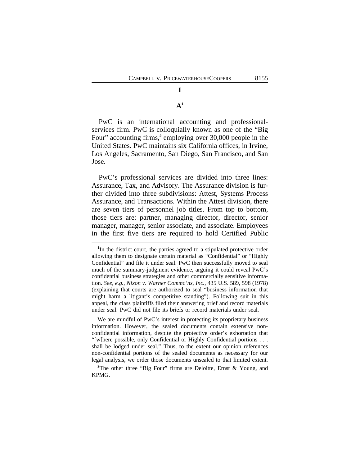# **A 1**

**I**

PwC is an international accounting and professionalservices firm. PwC is colloquially known as one of the "Big Four" accounting firms,<sup>2</sup> employing over 30,000 people in the United States. PwC maintains six California offices, in Irvine, Los Angeles, Sacramento, San Diego, San Francisco, and San Jose.

PwC's professional services are divided into three lines: Assurance, Tax, and Advisory. The Assurance division is further divided into three subdivisions: Attest, Systems Process Assurance, and Transactions. Within the Attest division, there are seven tiers of personnel job titles. From top to bottom, those tiers are: partner, managing director, director, senior manager, manager, senior associate, and associate. Employees in the first five tiers are required to hold Certified Public

We are mindful of PwC's interest in protecting its proprietary business information. However, the sealed documents contain extensive nonconfidential information, despite the protective order's exhortation that "[w]here possible, only Confidential or Highly Confidential portions . . . shall be lodged under seal." Thus, to the extent our opinion references non-confidential portions of the sealed documents as necessary for our legal analysis, we order those documents unsealed to that limited extent.

<sup>&</sup>lt;sup>1</sup>In the district court, the parties agreed to a stipulated protective order allowing them to designate certain material as "Confidential" or "Highly Confidential" and file it under seal. PwC then successfully moved to seal much of the summary-judgment evidence, arguing it could reveal PwC's confidential business strategies and other commercially sensitive information. *See, e.g.*, *Nixon v. Warner Commc'ns, Inc.*, 435 U.S. 589, 598 (1978) (explaining that courts are authorized to seal "business information that might harm a litigant's competitive standing"). Following suit in this appeal, the class plaintiffs filed their answering brief and record materials under seal. PwC did not file its briefs or record materials under seal.

<sup>&</sup>lt;sup>2</sup>The other three "Big Four" firms are Deloitte, Ernst & Young, and KPMG.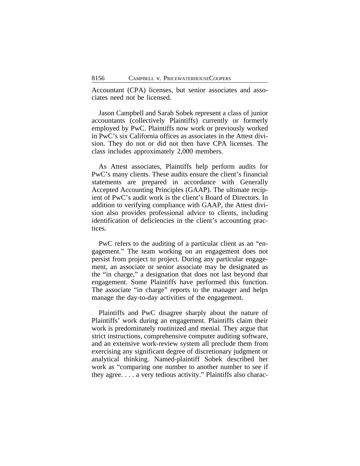Accountant (CPA) licenses, but senior associates and associates need not be licensed.

Jason Campbell and Sarah Sobek represent a class of junior accountants (collectively Plaintiffs) currently or formerly employed by PwC. Plaintiffs now work or previously worked in PwC's six California offices as associates in the Attest division. They do not or did not then have CPA licenses. The class includes approximately 2,000 members.

As Attest associates, Plaintiffs help perform audits for PwC's many clients. These audits ensure the client's financial statements are prepared in accordance with Generally Accepted Accounting Principles (GAAP). The ultimate recipient of PwC's audit work is the client's Board of Directors. In addition to verifying compliance with GAAP, the Attest division also provides professional advice to clients, including identification of deficiencies in the client's accounting practices.

PwC refers to the auditing of a particular client as an "engagement." The team working on an engagement does not persist from project to project. During any particular engagement, an associate or senior associate may be designated as the "in charge," a designation that does not last beyond that engagement. Some Plaintiffs have performed this function. The associate "in charge" reports to the manager and helps manage the day-to-day activities of the engagement.

Plaintiffs and PwC disagree sharply about the nature of Plaintiffs' work during an engagement. Plaintiffs claim their work is predominately routinized and menial. They argue that strict instructions, comprehensive computer auditing software, and an extensive work-review system all preclude them from exercising any significant degree of discretionary judgment or analytical thinking. Named-plaintiff Sobek described her work as "comparing one number to another number to see if they agree. . . . a very tedious activity." Plaintiffs also charac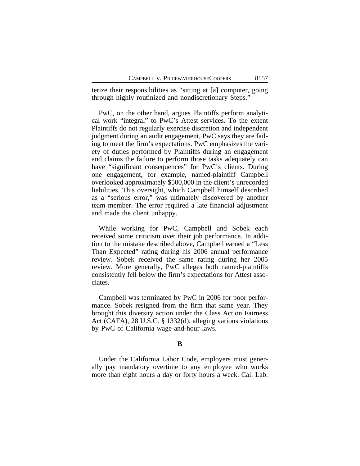terize their responsibilities as "sitting at [a] computer, going through highly routinized and nondiscretionary Steps."

PwC, on the other hand, argues Plaintiffs perform analytical work "integral" to PwC's Attest services. To the extent Plaintiffs do not regularly exercise discretion and independent judgment during an audit engagement, PwC says they are failing to meet the firm's expectations. PwC emphasizes the variety of duties performed by Plaintiffs during an engagement and claims the failure to perform those tasks adequately can have "significant consequences" for PwC's clients. During one engagement, for example, named-plaintiff Campbell overlooked approximately \$500,000 in the client's unrecorded liabilities. This oversight, which Campbell himself described as a "serious error," was ultimately discovered by another team member. The error required a late financial adjustment and made the client unhappy.

While working for PwC, Campbell and Sobek each received some criticism over their job performance. In addition to the mistake described above, Campbell earned a "Less Than Expected" rating during his 2006 annual performance review. Sobek received the same rating during her 2005 review. More generally, PwC alleges both named-plaintiffs consistently fell below the firm's expectations for Attest associates.

Campbell was terminated by PwC in 2006 for poor performance. Sobek resigned from the firm that same year. They brought this diversity action under the Class Action Fairness Act (CAFA), 28 U.S.C. § 1332(d), alleging various violations by PwC of California wage-and-hour laws.

## **B**

Under the California Labor Code, employers must generally pay mandatory overtime to any employee who works more than eight hours a day or forty hours a week. Cal. Lab.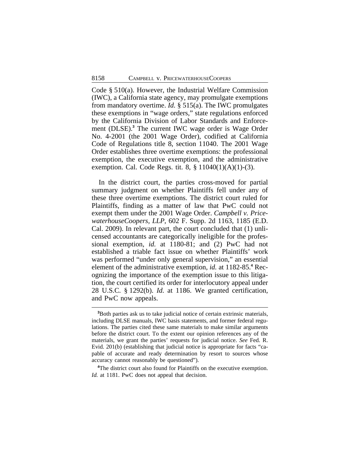Code § 510(a). However, the Industrial Welfare Commission (IWC), a California state agency, may promulgate exemptions from mandatory overtime. *Id.* § 515(a). The IWC promulgates these exemptions in "wage orders," state regulations enforced by the California Division of Labor Standards and Enforcement (DLSE).**<sup>3</sup>** The current IWC wage order is Wage Order No. 4-2001 (the 2001 Wage Order), codified at California Code of Regulations title 8, section 11040. The 2001 Wage Order establishes three overtime exemptions: the professional exemption, the executive exemption, and the administrative exemption. Cal. Code Regs. tit. 8, § 11040(1)(A)(1)-(3).

In the district court, the parties cross-moved for partial summary judgment on whether Plaintiffs fell under any of these three overtime exemptions. The district court ruled for Plaintiffs, finding as a matter of law that PwC could not exempt them under the 2001 Wage Order. *Campbell v. PricewaterhouseCoopers, LLP*, 602 F. Supp. 2d 1163, 1185 (E.D. Cal. 2009). In relevant part, the court concluded that (1) unlicensed accountants are categorically ineligible for the professional exemption, *id.* at 1180-81; and (2) PwC had not established a triable fact issue on whether Plaintiffs' work was performed "under only general supervision," an essential element of the administrative exemption, *id.* at 1182-85.**<sup>4</sup>** Recognizing the importance of the exemption issue to this litigation, the court certified its order for interlocutory appeal under 28 U.S.C. § 1292(b). *Id.* at 1186. We granted certification, and PwC now appeals.

**<sup>3</sup>**Both parties ask us to take judicial notice of certain extrinsic materials, including DLSE manuals, IWC basis statements, and former federal regulations. The parties cited these same materials to make similar arguments before the district court. To the extent our opinion references any of the materials, we grant the parties' requests for judicial notice. *See* Fed. R. Evid. 201(b) (establishing that judicial notice is appropriate for facts "capable of accurate and ready determination by resort to sources whose accuracy cannot reasonably be questioned").

<sup>&</sup>lt;sup>4</sup>The district court also found for Plaintiffs on the executive exemption. *Id.* at 1181. PwC does not appeal that decision.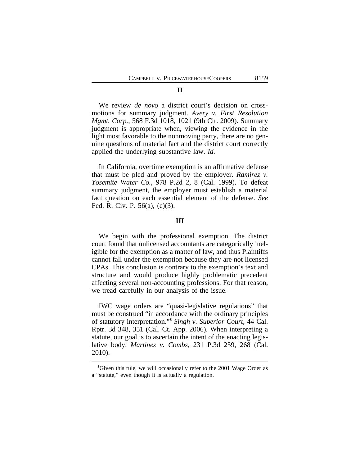#### **II**

We review *de novo* a district court's decision on crossmotions for summary judgment. *Avery v. First Resolution Mgmt. Corp.*, 568 F.3d 1018, 1021 (9th Cir. 2009). Summary judgment is appropriate when, viewing the evidence in the light most favorable to the nonmoving party, there are no genuine questions of material fact and the district court correctly applied the underlying substantive law. *Id.* 

In California, overtime exemption is an affirmative defense that must be pled and proved by the employer. *Ramirez v. Yosemite Water Co.*, 978 P.2d 2, 8 (Cal. 1999). To defeat summary judgment, the employer must establish a material fact question on each essential element of the defense. *See* Fed. R. Civ. P. 56(a), (e)(3).

#### **III**

We begin with the professional exemption. The district court found that unlicensed accountants are categorically ineligible for the exemption as a matter of law, and thus Plaintiffs cannot fall under the exemption because they are not licensed CPAs. This conclusion is contrary to the exemption's text and structure and would produce highly problematic precedent affecting several non-accounting professions. For that reason, we tread carefully in our analysis of the issue.

IWC wage orders are "quasi-legislative regulations" that must be construed "in accordance with the ordinary principles of statutory interpretation." **5** *Singh v. Superior Court*, 44 Cal. Rptr. 3d 348, 351 (Cal. Ct. App. 2006). When interpreting a statute, our goal is to ascertain the intent of the enacting legislative body. *Martinez v. Combs*, 231 P.3d 259, 268 (Cal. 2010).

**<sup>5</sup>**Given this rule, we will occasionally refer to the 2001 Wage Order as a "statute," even though it is actually a regulation.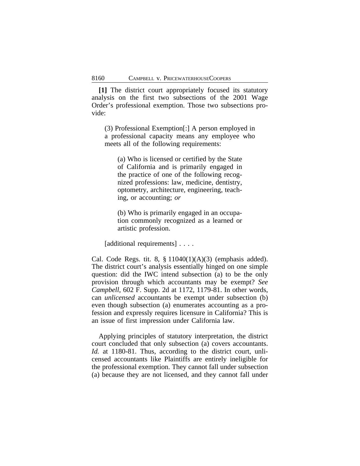**[1]** The district court appropriately focused its statutory analysis on the first two subsections of the 2001 Wage Order's professional exemption. Those two subsections provide:

(3) Professional Exemption[:] A person employed in a professional capacity means any employee who meets all of the following requirements:

(a) Who is licensed or certified by the State of California and is primarily engaged in the practice of one of the following recognized professions: law, medicine, dentistry, optometry, architecture, engineering, teaching, or accounting; *or*

(b) Who is primarily engaged in an occupation commonly recognized as a learned or artistic profession.

[additional requirements] . . . .

Cal. Code Regs. tit. 8,  $\S$  11040(1)(A)(3) (emphasis added). The district court's analysis essentially hinged on one simple question: did the IWC intend subsection (a) to be the only provision through which accountants may be exempt? *See Campbell*, 602 F. Supp. 2d at 1172, 1179-81. In other words, can *unlicensed* accountants be exempt under subsection (b) even though subsection (a) enumerates accounting as a profession and expressly requires licensure in California? This is an issue of first impression under California law.

Applying principles of statutory interpretation, the district court concluded that only subsection (a) covers accountants. *Id.* at 1180-81. Thus, according to the district court, unlicensed accountants like Plaintiffs are entirely ineligible for the professional exemption. They cannot fall under subsection (a) because they are not licensed, and they cannot fall under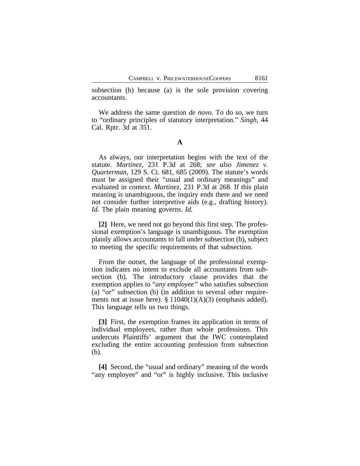subsection (b) because (a) is the sole provision covering accountants.

We address the same question *de novo*. To do so, we turn to "ordinary principles of statutory interpretation." *Singh*, 44 Cal. Rptr. 3d at 351.

**A**

As always, our interpretation begins with the text of the statute. *Martinez*, 231 P.3d at 268; *see also Jimenez v. Quarterman*, 129 S. Ct. 681, 685 (2009). The statute's words must be assigned their "usual and ordinary meanings" and evaluated in context. *Martinez*, 231 P.3d at 268*.* If this plain meaning is unambiguous, the inquiry ends there and we need not consider further interpretive aids (e.g., drafting history). *Id.* The plain meaning governs. *Id.*

**[2]** Here, we need not go beyond this first step. The professional exemption's language is unambiguous. The exemption plainly allows accountants to fall under subsection (b), subject to meeting the specific requirements of that subsection.

From the outset, the language of the professional exemption indicates no intent to exclude all accountants from subsection (b). The introductory clause provides that the exemption applies to "*any employee"* who satisfies subsection (a) "*or*" subsection (b) (in addition to several other requirements not at issue here).  $\S 11040(1)(A)(3)$  (emphasis added). This language tells us two things.

**[3]** First, the exemption frames its application in terms of individual employees, rather than whole professions. This undercuts Plaintiffs' argument that the IWC contemplated excluding the entire accounting profession from subsection (b).

**[4]** Second, the "usual and ordinary" meaning of the words "any employee" and "or" is highly inclusive. This inclusive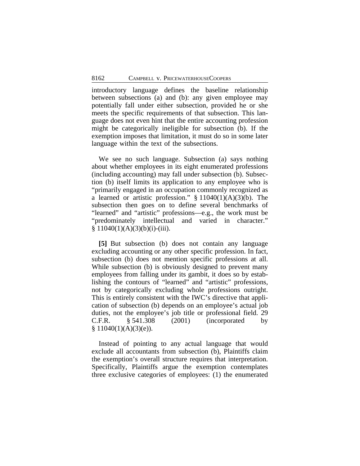introductory language defines the baseline relationship between subsections (a) and (b): any given employee may potentially fall under either subsection, provided he or she meets the specific requirements of that subsection. This language does not even hint that the entire accounting profession might be categorically ineligible for subsection (b). If the exemption imposes that limitation, it must do so in some later language within the text of the subsections.

We see no such language. Subsection (a) says nothing about whether employees in its eight enumerated professions (including accounting) may fall under subsection (b). Subsection (b) itself limits its application to any employee who is "primarily engaged in an occupation commonly recognized as a learned or artistic profession."  $§ 11040(1)(A)(3)(b)$ . The subsection then goes on to define several benchmarks of "learned" and "artistic" professions—e.g., the work must be "predominately intellectual and varied in character."  $§ 11040(1)(A)(3)(b)(i)-(iii).$ 

**[5]** But subsection (b) does not contain any language excluding accounting or any other specific profession. In fact, subsection (b) does not mention specific professions at all. While subsection (b) is obviously designed to prevent many employees from falling under its gambit, it does so by establishing the contours of "learned" and "artistic" professions, not by categorically excluding whole professions outright. This is entirely consistent with the IWC's directive that application of subsection (b) depends on an employee's actual job duties, not the employee's job title or professional field. 29 C.F.R. § 541.308 (2001) (incorporated by  $§ 11040(1)(A)(3)(e)$ .

Instead of pointing to any actual language that would exclude all accountants from subsection (b), Plaintiffs claim the exemption's overall structure requires that interpretation. Specifically, Plaintiffs argue the exemption contemplates three exclusive categories of employees: (1) the enumerated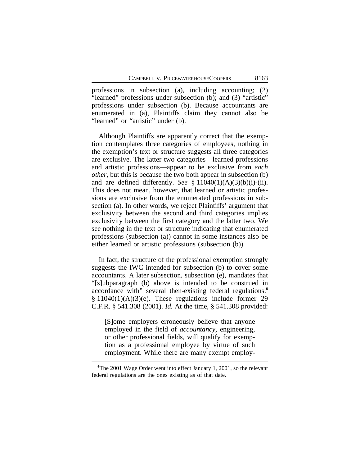professions in subsection (a), including accounting; (2) "learned" professions under subsection (b); and (3) "artistic" professions under subsection (b). Because accountants are enumerated in (a), Plaintiffs claim they cannot also be "learned" or "artistic" under (b).

Although Plaintiffs are apparently correct that the exemption contemplates three categories of employees, nothing in the exemption's text or structure suggests all three categories are exclusive. The latter two categories—learned professions and artistic professions—appear to be exclusive from *each other*, but this is because the two both appear in subsection (b) and are defined differently. *See* § 11040(1)(A)(3)(b)(i)-(ii). This does not mean, however, that learned or artistic professions are exclusive from the enumerated professions in subsection (a). In other words, we reject Plaintiffs' argument that exclusivity between the second and third categories implies exclusivity between the first category and the latter two. We see nothing in the text or structure indicating that enumerated professions (subsection (a)) cannot in some instances also be either learned or artistic professions (subsection (b)).

In fact, the structure of the professional exemption strongly suggests the IWC intended for subsection (b) to cover some accountants. A later subsection, subsection (e), mandates that "[s]ubparagraph (b) above is intended to be construed in accordance with" several then-existing federal regulations.**<sup>6</sup>**  $§ 11040(1)(A)(3)(e)$ . These regulations include former 29 C.F.R. § 541.308 (2001). *Id.* At the time, § 541.308 provided:

[S]ome employers erroneously believe that anyone employed in the field of *accountancy*, engineering, or other professional fields, will qualify for exemption as a professional employee by virtue of such employment. While there are many exempt employ-

**<sup>6</sup>**The 2001 Wage Order went into effect January 1, 2001, so the relevant federal regulations are the ones existing as of that date.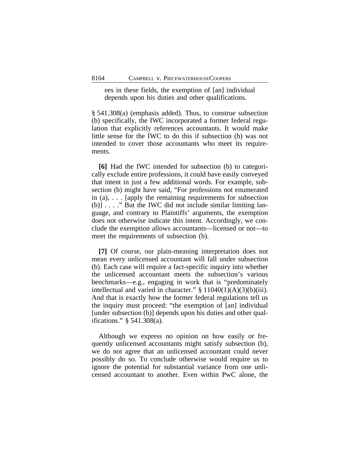ees in these fields, the exemption of [an] individual depends upon his duties and other qualifications.

§ 541.308(a) (emphasis added). Thus, to construe subsection (b) specifically, the IWC incorporated a former federal regulation that explicitly references accountants. It would make little sense for the IWC to do this if subsection (b) was not intended to cover those accountants who meet its requirements.

**[6]** Had the IWC intended for subsection (b) to categorically exclude entire professions, it could have easily conveyed that intent in just a few additional words. For example, subsection (b) might have said, "For professions not enumerated in (a), . . . [apply the remaining requirements for subsection (b)] . . . ." But the IWC did not include similar limiting language, and contrary to Plaintiffs' arguments, the exemption does not otherwise indicate this intent. Accordingly, we conclude the exemption allows accountants—licensed or not—to meet the requirements of subsection (b).

**[7]** Of course, our plain-meaning interpretation does not mean every unlicensed accountant will fall under subsection (b). Each case will require a fact-specific inquiry into whether the unlicensed accountant meets the subsection's various benchmarks—e.g., engaging in work that is "predominately intellectual and varied in character." § 11040(1)(A)(3)(b)(iii). And that is exactly how the former federal regulations tell us the inquiry must proceed: "the exemption of [an] individual [under subsection (b)] depends upon his duties and other qualifications." § 541.308(a).

Although we express no opinion on how easily or frequently unlicensed accountants might satisfy subsection (b), we do not agree that an unlicensed accountant could never possibly do so. To conclude otherwise would require us to ignore the potential for substantial variance from one unlicensed accountant to another. Even within PwC alone, the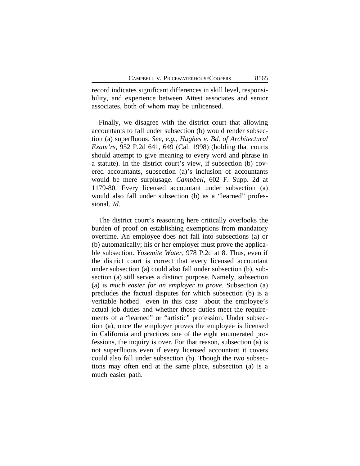record indicates significant differences in skill level, responsibility, and experience between Attest associates and senior associates, both of whom may be unlicensed.

Finally, we disagree with the district court that allowing accountants to fall under subsection (b) would render subsection (a) superfluous. *See, e.g.*, *Hughes v. Bd. of Architectural Exam'rs*, 952 P.2d 641, 649 (Cal. 1998) (holding that courts should attempt to give meaning to every word and phrase in a statute). In the district court's view, if subsection (b) covered accountants, subsection (a)'s inclusion of accountants would be mere surplusage. *Campbell*, 602 F. Supp. 2d at 1179-80. Every licensed accountant under subsection (a) would also fall under subsection (b) as a "learned" professional. *Id.*

The district court's reasoning here critically overlooks the burden of proof on establishing exemptions from mandatory overtime. An employee does not fall into subsections (a) or (b) automatically; his or her employer must prove the applicable subsection. *Yosemite Water*, 978 P.2d at 8. Thus, even if the district court is correct that every licensed accountant under subsection (a) could also fall under subsection (b), subsection (a) still serves a distinct purpose. Namely, subsection (a) is *much easier for an employer to prove*. Subsection (a) precludes the factual disputes for which subsection (b) is a veritable hotbed—even in this case—about the employee's actual job duties and whether those duties meet the requirements of a "learned" or "artistic" profession. Under subsection (a), once the employer proves the employee is licensed in California and practices one of the eight enumerated professions, the inquiry is over. For that reason, subsection (a) is not superfluous even if every licensed accountant it covers could also fall under subsection (b). Though the two subsections may often end at the same place, subsection (a) is a much easier path.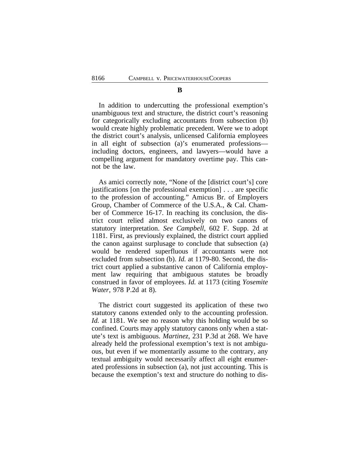In addition to undercutting the professional exemption's unambiguous text and structure, the district court's reasoning for categorically excluding accountants from subsection (b) would create highly problematic precedent. Were we to adopt the district court's analysis, unlicensed California employees in all eight of subsection (a)'s enumerated professions including doctors, engineers, and lawyers—would have a compelling argument for mandatory overtime pay. This cannot be the law.

As amici correctly note, "None of the [district court's] core justifications [on the professional exemption] . . . are specific to the profession of accounting." Amicus Br. of Employers Group, Chamber of Commerce of the U.S.A., & Cal. Chamber of Commerce 16-17. In reaching its conclusion, the district court relied almost exclusively on two canons of statutory interpretation. *See Campbell*, 602 F. Supp. 2d at 1181. First, as previously explained, the district court applied the canon against surplusage to conclude that subsection (a) would be rendered superfluous if accountants were not excluded from subsection (b). *Id.* at 1179-80. Second, the district court applied a substantive canon of California employment law requiring that ambiguous statutes be broadly construed in favor of employees. *Id.* at 1173 (citing *Yosemite Water*, 978 P.2d at 8).

The district court suggested its application of these two statutory canons extended only to the accounting profession. *Id.* at 1181. We see no reason why this holding would be so confined. Courts may apply statutory canons only when a statute's text is ambiguous. *Martinez*, 231 P.3d at 268. We have already held the professional exemption's text is not ambiguous, but even if we momentarily assume to the contrary, any textual ambiguity would necessarily affect all eight enumerated professions in subsection (a), not just accounting. This is because the exemption's text and structure do nothing to dis-

## **B**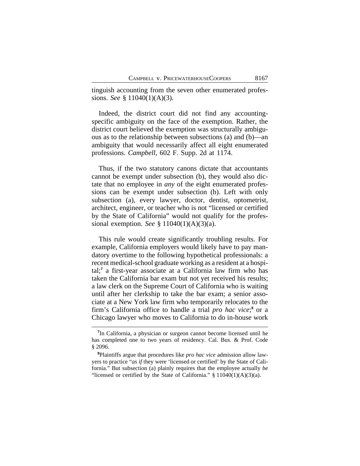tinguish accounting from the seven other enumerated professions. *See* § 11040(1)(A)(3).

Indeed, the district court did not find any accountingspecific ambiguity on the face of the exemption. Rather, the district court believed the exemption was structurally ambiguous as to the relationship between subsections (a) and (b)—an ambiguity that would necessarily affect all eight enumerated professions. *Campbell*, 602 F. Supp. 2d at 1174.

Thus, if the two statutory canons dictate that accountants cannot be exempt under subsection (b), they would also dictate that no employee in *any* of the eight enumerated professions can be exempt under subsection (b). Left with only subsection (a), every lawyer, doctor, dentist, optometrist, architect, engineer, or teacher who is not "licensed or certified by the State of California" would not qualify for the professional exemption. *See* § 11040(1)(A)(3)(a).

This rule would create significantly troubling results. For example, California employers would likely have to pay mandatory overtime to the following hypothetical professionals: a recent medical-school graduate working as a resident at a hospital;**<sup>7</sup>** a first-year associate at a California law firm who has taken the California bar exam but not yet received his results; a law clerk on the Supreme Court of California who is waiting until after her clerkship to take the bar exam; a senior associate at a New York law firm who temporarily relocates to the firm's California office to handle a trial *pro hac vice*;<sup>8</sup> or a Chicago lawyer who moves to California to do in-house work

**<sup>7</sup>** In California, a physician or surgeon cannot become licensed until he has completed one to two years of residency. Cal. Bus. & Prof. Code § 2096.

**<sup>8</sup>**Plaintiffs argue that procedures like *pro hac vice* admission allow lawyers to practice "*as if* they were 'licensed or certified' by the State of California." But subsection (a) plainly requires that the employee actually *be* "licensed or certified by the State of California."  $\S 11040(1)(A)(3)(a)$ .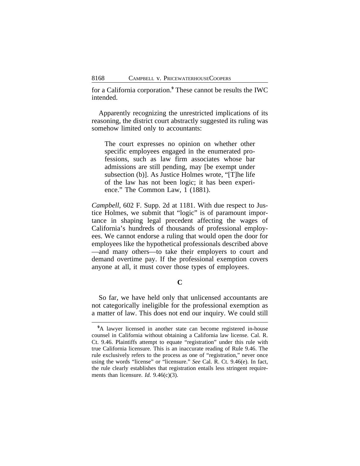for a California corporation.**<sup>9</sup>** These cannot be results the IWC intended.

Apparently recognizing the unrestricted implications of its reasoning, the district court abstractly suggested its ruling was somehow limited only to accountants:

The court expresses no opinion on whether other specific employees engaged in the enumerated professions, such as law firm associates whose bar admissions are still pending, may [be exempt under subsection (b)]. As Justice Holmes wrote, "[T]he life of the law has not been logic; it has been experience." The Common Law, 1 (1881).

*Campbell*, 602 F. Supp. 2d at 1181. With due respect to Justice Holmes, we submit that "logic" is of paramount importance in shaping legal precedent affecting the wages of California's hundreds of thousands of professional employees. We cannot endorse a ruling that would open the door for employees like the hypothetical professionals described above —and many others—to take their employers to court and demand overtime pay. If the professional exemption covers anyone at all, it must cover those types of employees.

**C**

So far, we have held only that unlicensed accountants are not categorically ineligible for the professional exemption as a matter of law. This does not end our inquiry. We could still

<sup>&</sup>lt;sup>9</sup>A lawyer licensed in another state can become registered in-house counsel in California without obtaining a California law license. Cal. R. Ct. 9.46. Plaintiffs attempt to equate "registration" under this rule with true California licensure. This is an inaccurate reading of Rule 9.46. The rule exclusively refers to the process as one of "registration," never once using the words "license" or "licensure." *See* Cal. R. Ct. 9.46(e). In fact, the rule clearly establishes that registration entails less stringent requirements than licensure. *Id.* 9.46(c)(3).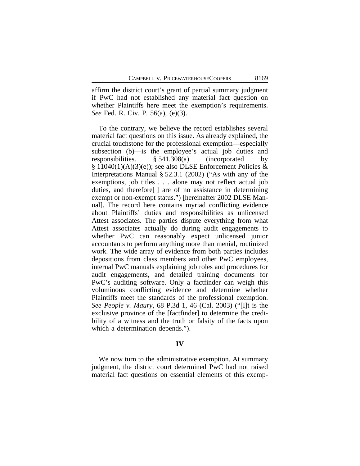affirm the district court's grant of partial summary judgment if PwC had not established any material fact question on whether Plaintiffs here meet the exemption's requirements. *See* Fed. R. Civ. P. 56(a), (e)(3).

To the contrary, we believe the record establishes several material fact questions on this issue. As already explained, the crucial touchstone for the professional exemption—especially subsection (b)—is the employee's actual job duties and responsibilities. § 541.308(a) (incorporated by  $\S 11040(1)(A)(3)(e)$ ; see also DLSE Enforcement Policies & Interpretations Manual § 52.3.1 (2002) ("As with any of the exemptions, job titles . . . alone may not reflect actual job duties, and therefore[ ] are of no assistance in determining exempt or non-exempt status.") [hereinafter 2002 DLSE Manual]. The record here contains myriad conflicting evidence about Plaintiffs' duties and responsibilities as unlicensed Attest associates. The parties dispute everything from what Attest associates actually do during audit engagements to whether PwC can reasonably expect unlicensed junior accountants to perform anything more than menial, routinized work. The wide array of evidence from both parties includes depositions from class members and other PwC employees, internal PwC manuals explaining job roles and procedures for audit engagements, and detailed training documents for PwC's auditing software. Only a factfinder can weigh this voluminous conflicting evidence and determine whether Plaintiffs meet the standards of the professional exemption. *See People v. Maury*, 68 P.3d 1, 46 (Cal. 2003) ("[I]t is the exclusive province of the [factfinder] to determine the credibility of a witness and the truth or falsity of the facts upon which a determination depends.").

#### **IV**

We now turn to the administrative exemption. At summary judgment, the district court determined PwC had not raised material fact questions on essential elements of this exemp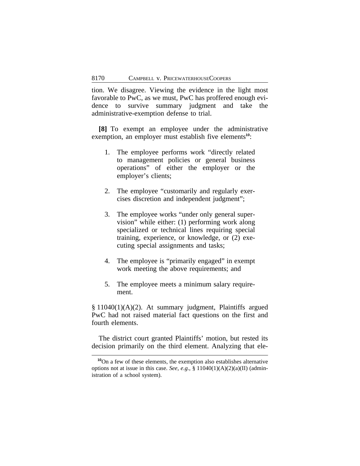tion. We disagree. Viewing the evidence in the light most favorable to PwC, as we must, PwC has proffered enough evidence to survive summary judgment and take the administrative-exemption defense to trial.

**[8]** To exempt an employee under the administrative exemption, an employer must establish five elements<sup>10</sup>:

- 1. The employee performs work "directly related to management policies or general business operations" of either the employer or the employer's clients;
- 2. The employee "customarily and regularly exercises discretion and independent judgment";
- 3. The employee works "under only general supervision" while either: (1) performing work along specialized or technical lines requiring special training, experience, or knowledge, or (2) executing special assignments and tasks;
- 4. The employee is "primarily engaged" in exempt work meeting the above requirements; and
- 5. The employee meets a minimum salary requirement.

§ 11040(1)(A)(2). At summary judgment, Plaintiffs argued PwC had not raised material fact questions on the first and fourth elements.

The district court granted Plaintiffs' motion, but rested its decision primarily on the third element. Analyzing that ele-

**<sup>10</sup>**On a few of these elements, the exemption also establishes alternative options not at issue in this case. *See, e.g.*, § 11040(1)(A)(2)(a)(II) (administration of a school system).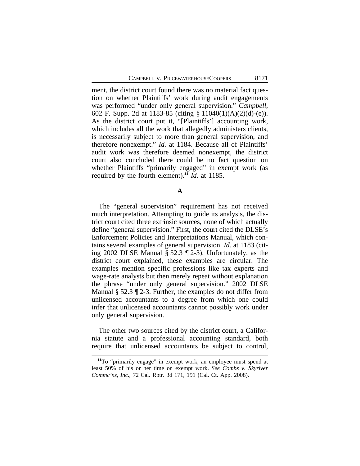ment, the district court found there was no material fact question on whether Plaintiffs' work during audit engagements was performed "under only general supervision." *Campbell*, 602 F. Supp. 2d at 1183-85 (citing § 11040(1)(A)(2)(d)-(e)). As the district court put it, "[Plaintiffs'] accounting work, which includes all the work that allegedly administers clients, is necessarily subject to more than general supervision, and therefore nonexempt." *Id.* at 1184. Because all of Plaintiffs' audit work was therefore deemed nonexempt, the district court also concluded there could be no fact question on whether Plaintiffs "primarily engaged" in exempt work (as required by the fourth element).**<sup>11</sup>** *Id.* at 1185.

**A**

The "general supervision" requirement has not received much interpretation. Attempting to guide its analysis, the district court cited three extrinsic sources, none of which actually define "general supervision." First, the court cited the DLSE's Enforcement Policies and Interpretations Manual, which contains several examples of general supervision. *Id.* at 1183 (citing 2002 DLSE Manual § 52.3 ¶ 2-3). Unfortunately, as the district court explained, these examples are circular. The examples mention specific professions like tax experts and wage-rate analysts but then merely repeat without explanation the phrase "under only general supervision." 2002 DLSE Manual § 52.3 ¶ 2-3. Further, the examples do not differ from unlicensed accountants to a degree from which one could infer that unlicensed accountants cannot possibly work under only general supervision.

The other two sources cited by the district court, a California statute and a professional accounting standard, both require that unlicensed accountants be subject to control,

**<sup>11</sup>**To "primarily engage" in exempt work, an employee must spend at least 50% of his or her time on exempt work. *See Combs v. Skyriver Commc'ns, Inc.*, 72 Cal. Rptr. 3d 171, 191 (Cal. Ct. App. 2008).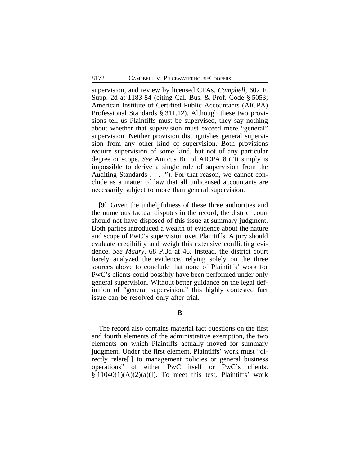supervision, and review by licensed CPAs. *Campbell*, 602 F. Supp. 2d at 1183-84 (citing Cal. Bus. & Prof. Code § 5053; American Institute of Certified Public Accountants (AICPA) Professional Standards § 311.12). Although these two provisions tell us Plaintiffs must be supervised, they say nothing about whether that supervision must exceed mere "general" supervision. Neither provision distinguishes general supervision from any other kind of supervision. Both provisions require supervision of some kind, but not of any particular degree or scope. *See* Amicus Br. of AICPA 8 ("It simply is impossible to derive a single rule of supervision from the Auditing Standards . . . ."). For that reason, we cannot conclude as a matter of law that all unlicensed accountants are necessarily subject to more than general supervision.

**[9]** Given the unhelpfulness of these three authorities and the numerous factual disputes in the record, the district court should not have disposed of this issue at summary judgment. Both parties introduced a wealth of evidence about the nature and scope of PwC's supervision over Plaintiffs. A jury should evaluate credibility and weigh this extensive conflicting evidence. *See Maury*, 68 P.3d at 46. Instead, the district court barely analyzed the evidence, relying solely on the three sources above to conclude that none of Plaintiffs' work for PwC's clients could possibly have been performed under only general supervision. Without better guidance on the legal definition of "general supervision," this highly contested fact issue can be resolved only after trial.

#### **B**

The record also contains material fact questions on the first and fourth elements of the administrative exemption, the two elements on which Plaintiffs actually moved for summary judgment. Under the first element, Plaintiffs' work must "directly relate[ ] to management policies or general business operations" of either PwC itself or PwC's clients.  $§ 11040(1)(A)(2)(a)(I)$ . To meet this test, Plaintiffs' work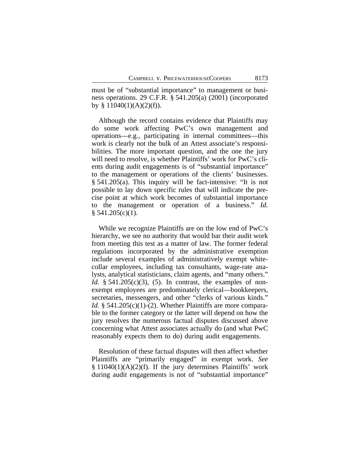must be of "substantial importance" to management or business operations. 29 C.F.R. § 541.205(a) (2001) (incorporated by  $§ 11040(1)(A)(2)(f)$ .

Although the record contains evidence that Plaintiffs may do some work affecting PwC's own management and operations—e.g., participating in internal committees—this work is clearly not the bulk of an Attest associate's responsibilities. The more important question, and the one the jury will need to resolve, is whether Plaintiffs' work for PwC's clients during audit engagements is of "substantial importance" to the management or operations of the clients' businesses. § 541.205(a). This inquiry will be fact-intensive: "It is not possible to lay down specific rules that will indicate the precise point at which work becomes of substantial importance to the management or operation of a business." *Id.*  $§ 541.205(c)(1).$ 

While we recognize Plaintiffs are on the low end of PwC's hierarchy, we see no authority that would bar their audit work from meeting this test as a matter of law. The former federal regulations incorporated by the administrative exemption include several examples of administratively exempt whitecollar employees, including tax consultants, wage-rate analysts, analytical statisticians, claim agents, and "many others." *Id.* § 541.205(c)(3), (5). In contrast, the examples of nonexempt employees are predominately clerical—bookkeepers, secretaries, messengers, and other "clerks of various kinds." *Id.* § 541.205(c)(1)-(2). Whether Plaintiffs are more comparable to the former category or the latter will depend on how the jury resolves the numerous factual disputes discussed above concerning what Attest associates actually do (and what PwC reasonably expects them to do) during audit engagements.

Resolution of these factual disputes will then affect whether Plaintiffs are "primarily engaged" in exempt work. *See*  $§ 11040(1)(A)(2)(f)$ . If the jury determines Plaintiffs' work during audit engagements is not of "substantial importance"